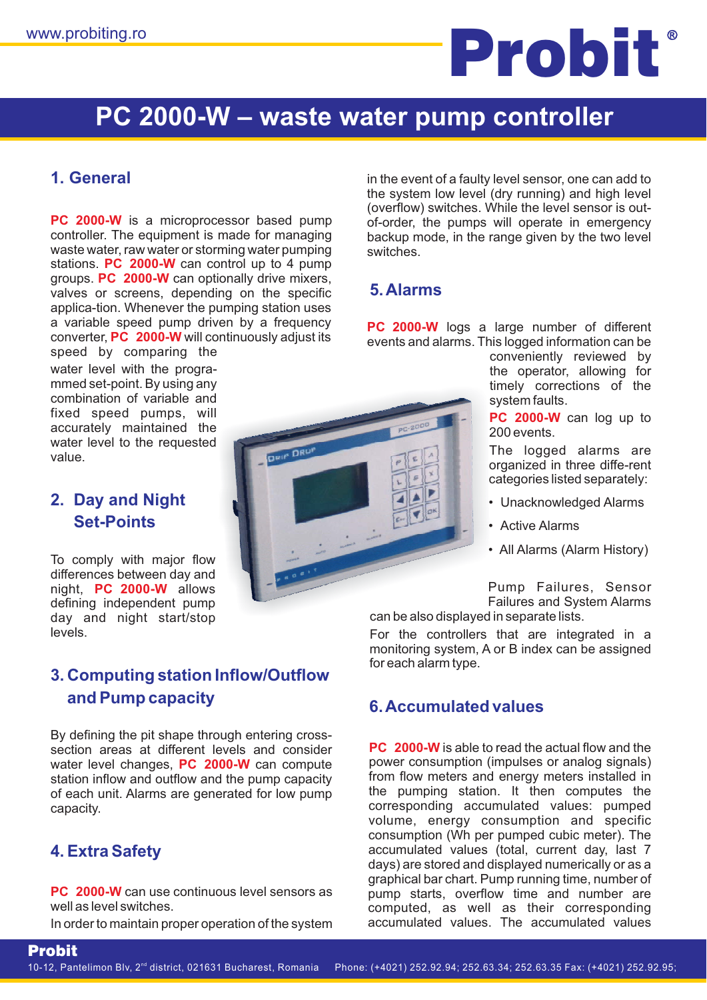# **DRIP-DROP PC 2000 DRIP-DROP PC 200-C DRIP-DROP PC 200-W** www.probiting.ro **Dream**

# **PC 2000-W - waste water pump controller**

### **1. General**

**PC 2000-W** is a microprocessor based pump stations. PC 2000-W can control up to 4 pump groups. PC 2000-W can optionally drive mixers, converter, PC 2000-W will continuously adjust its controller. The equipment is made for managing waste water, raw water or storming water pumping valves or screens, depending on the specific applica-tion. Whenever the pumping station uses a variable speed pump driven by a frequency speed by comparing the

water level with the progra mmed set-point. By using any combination of variable and fixed speed pumps, will accurately maintained the water level to the requested value.

#### **2. Day and Night Set-Points**

night, PC 2000-W allows To comply with major flow differences between day and defining independent pump day and night start/stop levels.

### **3. Computing station Inflow/Outflow and Pump capacity**

water level changes, PC 2000-W can compute By defining the pit shape through entering crosssection areas at different levels and consider station inflow and outflow and the pump capacity of each unit. Alarms are generated for low pump capacity.

### **4. Extra Safety**

Probit

**PC 2000-W** can use continuous level sensors as well as level switches.

In order to maintain proper operation of the system



in the event of a faulty level sensor, one can add to the system low level (dry running) and high level (overflow) switches. While the level sensor is outof-order, the pumps will operate in emergency backup mode, in the range given by the two level switches.

### **5.Alarms**

**PC 2000-W** logs a large number of different events and alarms. This logged information can be

conveniently reviewed by the operator, allowing for timely corrections of the system faults.

**PC 2000-W** can log up to 200 events.

The logged alarms are organized in three diffe-rent categories listed separately:

- Unacknowledged Alarms
- Active Alarms
- All Alarms (Alarm History)

Pump Failures, Sensor Failures and System Alarms can be also displayed in separate lists.

For the controllers that are integrated in a monitoring system, A or B index can be assigned for each alarm type.

#### **6.Accumulated values**

**PC** 2000-W is able to read the actual flow and the power consumption (impulses or analog signals) from flow meters and energy meters installed in the pumping station. It then computes the corresponding accumulated values: pumped volume, energy consumption and specific consumption (Wh per pumped cubic meter). The accumulated values (total, current day, last 7 days) are stored and displayed numerically or as a graphical bar chart. Pump running time, number of pump starts, overflow time and number are computed, as well as their corresponding accumulated values. The accumulated values